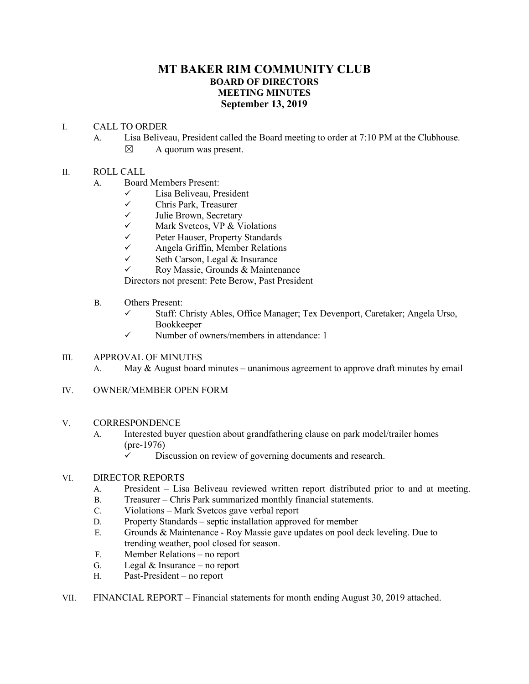## **MT BAKER RIM COMMUNITY CLUB BOARD OF DIRECTORS MEETING MINUTES September 13, 2019**

## I. CALL TO ORDER

A. Lisa Beliveau, President called the Board meeting to order at 7:10 PM at the Clubhouse.

 $\boxtimes$  A quorum was present.

## II. ROLL CALL

- A. Board Members Present:
	- $\checkmark$  Lisa Beliveau, President
	- $\checkmark$  Chris Park, Treasurer<br>
	Unlie Brown Secretary
	- Julie Brown, Secretary
	- $\checkmark$  Mark Svetcos, VP & Violations<br> $\checkmark$  Peter Hauser Property Standards
	-
	- $\checkmark$  Peter Hauser, Property Standards<br> $\checkmark$  Angela Griffin. Member Relations  $\checkmark$  Angela Griffin, Member Relations<br> $\checkmark$  Seth Carson Legal & Insurance
	- Seth Carson, Legal & Insurance
	- $\checkmark$  Roy Massie, Grounds & Maintenance

Directors not present: Pete Berow, Past President

- B. Others Present:
	- Staff: Christy Ables, Office Manager; Tex Devenport, Caretaker; Angela Urso, Bookkeeper
	- $\checkmark$  Number of owners/members in attendance: 1

### III. APPROVAL OF MINUTES

- A. May  $\&$  August board minutes unanimous agreement to approve draft minutes by email
- IV. OWNER/MEMBER OPEN FORM
- V. CORRESPONDENCE
	- A. Interested buyer question about grandfathering clause on park model/trailer homes (pre-1976)
		- $\checkmark$  Discussion on review of governing documents and research.

## VI. DIRECTOR REPORTS

- A. President Lisa Beliveau reviewed written report distributed prior to and at meeting.
- B. Treasurer Chris Park summarized monthly financial statements.
- C. Violations Mark Svetcos gave verbal report
- D. Property Standards septic installation approved for member
- E. Grounds & Maintenance Roy Massie gave updates on pool deck leveling. Due to trending weather, pool closed for season.
- F. Member Relations no report
- G. Legal & Insurance no report
- H. Past-President no report
- VII. FINANCIAL REPORT Financial statements for month ending August 30, 2019 attached.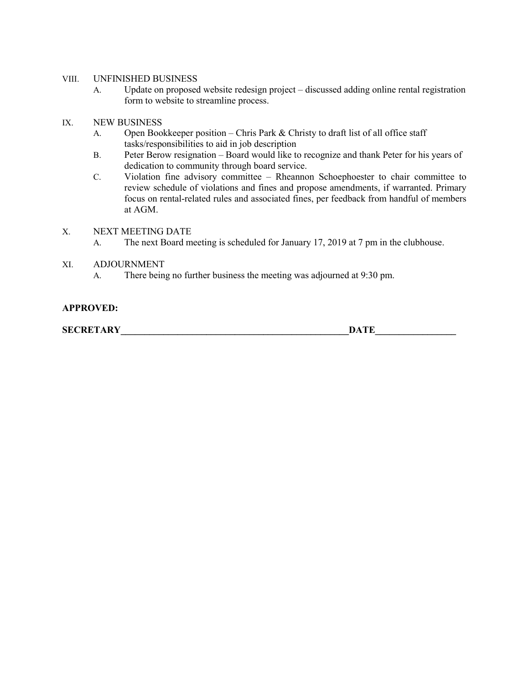### VIII. UNFINISHED BUSINESS

- A. Update on proposed website redesign project discussed adding online rental registration form to website to streamline process.
- IX. NEW BUSINESS
	- A. Open Bookkeeper position Chris Park & Christy to draft list of all office staff tasks/responsibilities to aid in job description
	- B. Peter Berow resignation Board would like to recognize and thank Peter for his years of dedication to community through board service.
	- C. Violation fine advisory committee Rheannon Schoephoester to chair committee to review schedule of violations and fines and propose amendments, if warranted. Primary focus on rental-related rules and associated fines, per feedback from handful of members at AGM.

### X. NEXT MEETING DATE

- A. The next Board meeting is scheduled for January 17, 2019 at 7 pm in the clubhouse.
- XI. ADJOURNMENT
	- A. There being no further business the meeting was adjourned at 9:30 pm.

### **APPROVED:**

**SECRETARY\_\_\_\_\_\_\_\_\_\_\_\_\_\_\_\_\_\_\_\_\_\_\_\_\_\_\_\_\_\_\_\_\_\_\_\_\_\_\_\_\_\_\_\_\_\_\_\_DATE\_\_\_\_\_\_\_\_\_\_\_\_\_\_\_\_\_**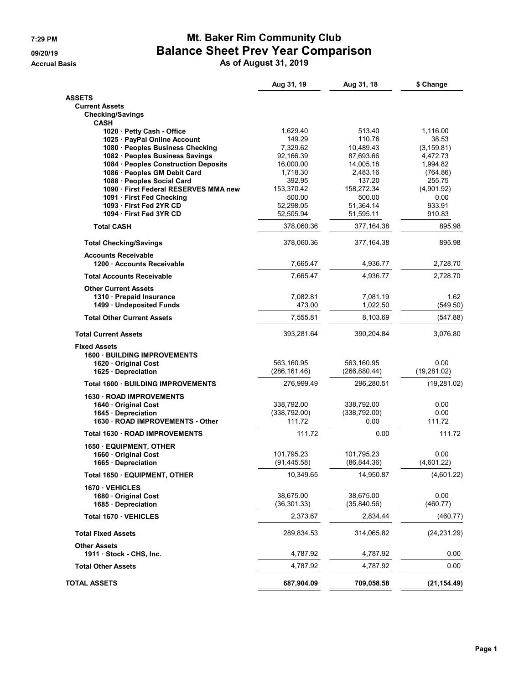## **7:29 PM Mt. Baker Rim Community Club 09/20/19 Balance Sheet Prev Year Comparison**

**Accrual Basis As of August 31, 2019**

|                                                          | Aug 31, 19              | Aug 31, 18              | \$ Change        |
|----------------------------------------------------------|-------------------------|-------------------------|------------------|
| <b>ASSETS</b>                                            |                         |                         |                  |
| <b>Current Assets</b>                                    |                         |                         |                  |
| <b>Checking/Savings</b><br>CASH                          |                         |                         |                  |
| 1020 · Petty Cash - Office                               | 1,629.40                | 513.40                  | 1,116.00         |
| 1025 · PayPal Online Account                             | 149.29                  | 110.76                  | 38.53            |
| 1080 · Peoples Business Checking                         | 7,329.62                | 10,489.43               | (3, 159.81)      |
| 1082 · Peoples Business Savings                          | 92,166.39               | 87,693.66               | 4,472.73         |
| 1084 · Peoples Construction Deposits                     | 16,000.00               | 14,005.18               | 1,994.82         |
| 1086 · Peoples GM Debit Card                             | 1,718.30                | 2,483.16                | (764.86)         |
| 1088 · Peoples Social Card                               | 392.95                  | 137.20                  | 255.75           |
| 1090 · First Federal RESERVES MMA new                    | 153,370.42              | 158,272.34              | (4,901.92)       |
| 1091 · First Fed Checking                                | 500.00                  | 500.00                  | 0.00             |
| 1093 First Fed 2YR CD                                    | 52,298.05               | 51,364.14               | 933.91           |
| 1094 First Fed 3YR CD<br><b>Total CASH</b>               | 52,505.94<br>378,060.36 | 51,595.11<br>377,164.38 | 910.83<br>895.98 |
|                                                          |                         |                         |                  |
| <b>Total Checking/Savings</b>                            | 378,060.36              | 377,164.38              | 895.98           |
| <b>Accounts Receivable</b><br>1200 · Accounts Receivable | 7,665.47                | 4,936.77                | 2,728.70         |
| <b>Total Accounts Receivable</b>                         | 7.665.47                | 4,936.77                | 2,728.70         |
| <b>Other Current Assets</b>                              |                         |                         |                  |
| 1310 · Prepaid Insurance                                 | 7,082.81                | 7,081.19                | 1.62             |
| 1499 · Undeposited Funds                                 | 473.00                  | 1,022.50                | (549.50)         |
| <b>Total Other Current Assets</b>                        | 7,555.81                | 8,103.69                | (547.88)         |
| <b>Total Current Assets</b>                              | 393,281.64              | 390,204.84              | 3,076.80         |
| <b>Fixed Assets</b>                                      |                         |                         |                  |
| <b>1600 BUILDING IMPROVEMENTS</b>                        |                         |                         |                  |
| 1620 Original Cost                                       | 563,160.95              | 563,160.95              | 0.00             |
| 1625 · Depreciation                                      | (286, 161.46)           | (266, 880.44)           | (19, 281.02)     |
| <b>Total 1600 BUILDING IMPROVEMENTS</b>                  | 276,999.49              | 296,280.51              | (19, 281.02)     |
| 1630 ROAD IMPROVEMENTS                                   |                         |                         |                  |
| 1640 Original Cost                                       | 338,792.00              | 338,792.00              | 0.00             |
| 1645 · Depreciation                                      | (338, 792.00)           | (338, 792.00)           | 0.00             |
| 1630 · ROAD IMPROVEMENTS - Other                         | 111.72                  | 0.00                    | 111.72           |
| Total 1630 ROAD IMPROVEMENTS                             | 111.72                  | 0.00                    | 111.72           |
| 1650 EQUIPMENT, OTHER                                    |                         |                         |                  |
| 1660 · Original Cost                                     | 101,795.23              | 101,795.23              | 0.00             |
| 1665 · Depreciation                                      | (91, 445.58)            | (86, 844.36)            | (4,601.22)       |
| Total 1650 · EQUIPMENT, OTHER                            | 10,349.65               | 14,950.87               | (4,601.22)       |
| 1670 VEHICLES                                            |                         |                         |                  |
| 1680 · Original Cost                                     | 38,675.00               | 38,675.00               | 0.00             |
| 1685 · Depreciation                                      | (36, 301.33)            | (35, 840.56)            | (460.77)         |
| Total 1670 · VEHICLES                                    | 2,373.67                | 2,834.44                | (460.77)         |
| <b>Total Fixed Assets</b>                                | 289,834.53              | 314,065.82              | (24, 231.29)     |
| <b>Other Assets</b>                                      |                         |                         |                  |
| 1911 · Stock - CHS, Inc.                                 | 4,787.92                | 4,787.92                | 0.00             |
| <b>Total Other Assets</b>                                | 4,787.92                | 4,787.92                | 0.00             |
| <b>TOTAL ASSETS</b>                                      | 687,904.09              | 709,058.58              | (21, 154.49)     |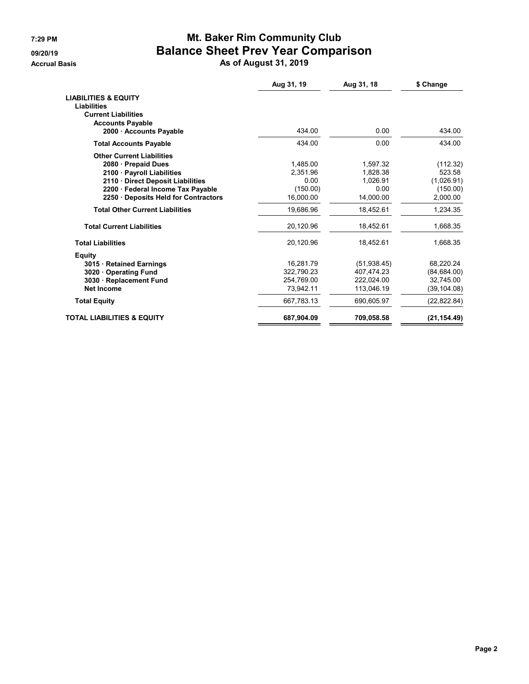## **7:29 PM Mt. Baker Rim Community Club 09/20/19 Balance Sheet Prev Year Comparison**

**Accrual Basis As of August 31, 2019**

|                                                                                     | Aug 31, 19 | Aug 31, 18   | \$ Change    |
|-------------------------------------------------------------------------------------|------------|--------------|--------------|
| <b>LIABILITIES &amp; EQUITY</b><br><b>Liabilities</b><br><b>Current Liabilities</b> |            |              |              |
| <b>Accounts Payable</b>                                                             |            |              |              |
| 2000 Accounts Payable                                                               | 434.00     | 0.00         | 434.00       |
| <b>Total Accounts Payable</b>                                                       | 434.00     | 0.00         | 434.00       |
| <b>Other Current Liabilities</b>                                                    |            |              |              |
| 2080 · Prepaid Dues                                                                 | 1.485.00   | 1.597.32     | (112.32)     |
| 2100 · Payroll Liabilities                                                          | 2.351.96   | 1.828.38     | 523.58       |
| 2110 · Direct Deposit Liabilities                                                   | 0.00       | 1.026.91     | (1,026.91)   |
| 2200 · Federal Income Tax Payable                                                   | (150.00)   | 0.00         | (150.00)     |
| 2250 · Deposits Held for Contractors                                                | 16.000.00  | 14,000.00    | 2.000.00     |
| <b>Total Other Current Liabilities</b>                                              | 19,686.96  | 18,452.61    | 1,234.35     |
| <b>Total Current Liabilities</b>                                                    | 20,120.96  | 18,452.61    | 1,668.35     |
| <b>Total Liabilities</b>                                                            | 20,120.96  | 18,452.61    | 1,668.35     |
| <b>Equity</b>                                                                       |            |              |              |
| 3015 Retained Earnings                                                              | 16,281.79  | (51, 938.45) | 68,220.24    |
| 3020 Operating Fund                                                                 | 322,790.23 | 407,474.23   | (84, 684.00) |
| 3030 · Replacement Fund                                                             | 254.769.00 | 222,024.00   | 32.745.00    |
| <b>Net Income</b>                                                                   | 73,942.11  | 113,046.19   | (39, 104.08) |
| <b>Total Equity</b>                                                                 | 667.783.13 | 690.605.97   | (22, 822.84) |
| <b>TOTAL LIABILITIES &amp; EQUITY</b>                                               | 687,904.09 | 709,058.58   | (21, 154.49) |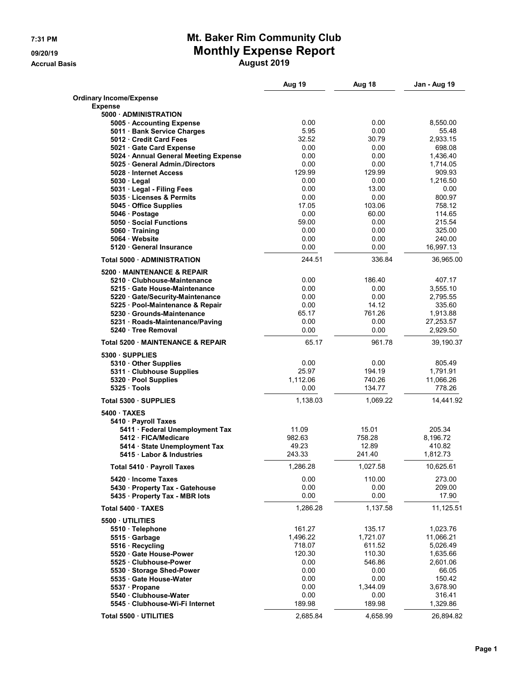## **7:31 PM Mt. Baker Rim Community Club 09/20/19 Monthly Expense Report**

**Accrual Basis August 2019**

|                                                             | Aug 19             | Aug 18             | Jan - Aug 19          |
|-------------------------------------------------------------|--------------------|--------------------|-----------------------|
| <b>Ordinary Income/Expense</b>                              |                    |                    |                       |
| <b>Expense</b><br>5000 ADMINISTRATION                       |                    |                    |                       |
| 5005 · Accounting Expense                                   | 0.00               | 0.00               | 8.550.00              |
| 5011 Bank Service Charges                                   | 5.95               | 0.00               | 55.48                 |
| 5012 Credit Card Fees                                       | 32.52              | 30.79              | 2,933.15              |
| 5021 Gate Card Expense                                      | 0.00               | 0.00               | 698.08                |
| 5024 • Annual General Meeting Expense                       | 0.00               | 0.00               | 1,436.40              |
| 5025 General Admin./Directors                               | 0.00               | 0.00               | 1,714.05              |
| 5028 Internet Access                                        | 129.99<br>0.00     | 129.99             | 909.93                |
| $5030 \cdot$ Legal<br>5031 · Legal - Filing Fees            | 0.00               | 0.00<br>13.00      | 1,216.50<br>0.00      |
| 5035 Licenses & Permits                                     | 0.00               | 0.00               | 800.97                |
| 5045 Office Supplies                                        | 17.05              | 103.06             | 758.12                |
| 5046 Postage                                                | 0.00               | 60.00              | 114.65                |
| 5050 Social Functions                                       | 59.00              | 0.00               | 215.54                |
| 5060 Training                                               | 0.00               | 0.00               | 325.00                |
| 5064 Website                                                | 0.00               | 0.00               | 240.00                |
| 5120 · General Insurance                                    | 0.00               | 0.00               | 16,997.13             |
| Total 5000 ADMINISTRATION                                   | 244.51             | 336.84             | 36,965.00             |
| 5200 MAINTENANCE & REPAIR                                   |                    |                    |                       |
| 5210 Clubhouse-Maintenance                                  | 0.00               | 186.40             | 407.17                |
| 5215 Gate House-Maintenance                                 | 0.00               | 0.00               | 3,555.10              |
| 5220 Gate/Security-Maintenance                              | 0.00               | 0.00               | 2,795.55              |
| 5225 · Pool-Maintenance & Repair                            | 0.00               | 14.12<br>761.26    | 335.60                |
| 5230 Grounds-Maintenance<br>5231 · Roads-Maintenance/Paving | 65.17<br>0.00      | 0.00               | 1,913.88<br>27,253.57 |
| 5240 Tree Removal                                           | 0.00               | 0.00               | 2,929.50              |
| <b>Total 5200 MAINTENANCE &amp; REPAIR</b>                  | 65.17              | 961.78             | 39,190.37             |
|                                                             |                    |                    |                       |
| 5300 SUPPLIES                                               |                    |                    |                       |
| 5310 Other Supplies                                         | 0.00               | 0.00               | 805.49                |
| 5311 Clubhouse Supplies                                     | 25.97<br>1,112.06  | 194.19<br>740.26   | 1,791.91              |
| 5320 · Pool Supplies<br>5325 Tools                          | 0.00               | 134.77             | 11,066.26<br>778.26   |
| Total 5300 · SUPPLIES                                       | 1,138.03           | 1,069.22           | 14,441.92             |
| 5400 TAXES                                                  |                    |                    |                       |
| 5410 · Payroll Taxes                                        |                    |                    |                       |
| 5411 · Federal Unemployment Tax                             | 11.09              | 15.01              | 205.34                |
| 5412 FICA/Medicare                                          | 982.63             | 758.28             | 8,196.72              |
| 5414 · State Unemployment Tax                               | 49.23              | 12.89              | 410.82                |
| 5415 Labor & Industries                                     | 243.33             | 241.40             | 1,812.73              |
| Total 5410 · Payroll Taxes                                  | 1,286.28           | 1,027.58           | 10,625.61             |
| 5420 - Income Taxes                                         | 0.00               | 110.00             | 273.00                |
| 5430 · Property Tax - Gatehouse                             | 0.00               | 0.00               | 209.00                |
| 5435 · Property Tax - MBR lots                              | 0.00               | 0.00               | 17.90                 |
| Total 5400 TAXES                                            | 1,286.28           | 1,137.58           | 11,125.51             |
| 5500 UTILITIES                                              |                    |                    |                       |
| 5510 · Telephone                                            | 161.27             | 135.17             | 1,023.76              |
| 5515 Garbage                                                | 1,496.22<br>718.07 | 1,721.07<br>611.52 | 11,066.21<br>5,026.49 |
| 5516 · Recycling<br>5520 Gate House-Power                   | 120.30             | 110.30             | 1,635.66              |
| 5525 Clubhouse-Power                                        | 0.00               | 546.86             | 2,601.06              |
| 5530 Storage Shed-Power                                     | 0.00               | 0.00               | 66.05                 |
| 5535 · Gate House-Water                                     | 0.00               | 0.00               | 150.42                |
| 5537 · Propane                                              | 0.00               | 1,344.09           | 3,678.90              |
| 5540 Clubhouse-Water                                        | 0.00               | 0.00               | 316.41                |
| 5545 · Clubhouse-Wi-Fi Internet                             | 189.98             | 189.98             | 1,329.86              |
| Total 5500 · UTILITIES                                      | 2,685.84           | 4,658.99           | 26,894.82             |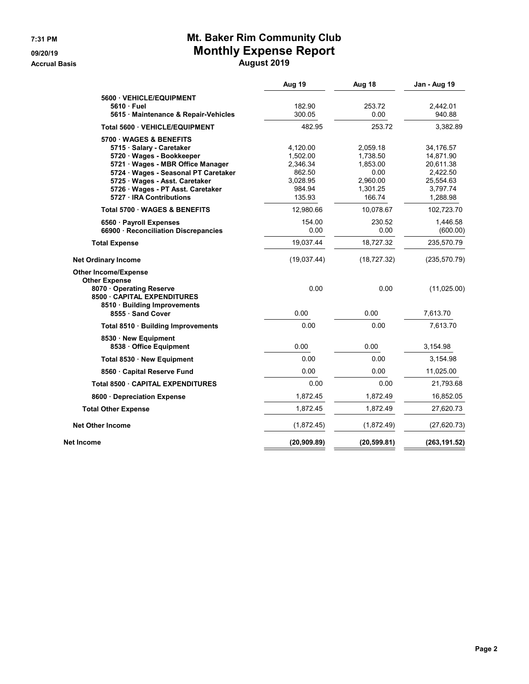## **7:31 PM Mt. Baker Rim Community Club 09/20/19 Monthly Expense Report**

**Accrual Basis August 2019**

|                                                                                                                                                                                                                                                             | Aug 19                                                                     | Aug 18                                                                     | Jan - Aug 19                                                                         |
|-------------------------------------------------------------------------------------------------------------------------------------------------------------------------------------------------------------------------------------------------------------|----------------------------------------------------------------------------|----------------------------------------------------------------------------|--------------------------------------------------------------------------------------|
| 5600 VEHICLE/EQUIPMENT<br>5610 Fuel<br>5615 Maintenance & Repair-Vehicles                                                                                                                                                                                   | 182.90<br>300.05                                                           | 253.72<br>0.00                                                             | 2,442.01<br>940.88                                                                   |
| Total 5600 · VEHICLE/EQUIPMENT                                                                                                                                                                                                                              | 482.95                                                                     | 253.72                                                                     | 3,382.89                                                                             |
| 5700 WAGES & BENEFITS<br>5715 Salary - Caretaker<br>5720 Wages - Bookkeeper<br>5721 · Wages - MBR Office Manager<br>5724 · Wages - Seasonal PT Caretaker<br>5725 · Wages - Asst. Caretaker<br>5726 · Wages - PT Asst. Caretaker<br>5727 · IRA Contributions | 4,120.00<br>1,502.00<br>2,346.34<br>862.50<br>3,028.95<br>984.94<br>135.93 | 2,059.18<br>1,738.50<br>1,853.00<br>0.00<br>2.960.00<br>1,301.25<br>166.74 | 34,176.57<br>14,871.90<br>20,611.38<br>2,422.50<br>25,554.63<br>3,797.74<br>1,288.98 |
| Total 5700 WAGES & BENEFITS                                                                                                                                                                                                                                 | 12,980.66                                                                  | 10,078.67                                                                  | 102,723.70                                                                           |
| 6560 · Payroll Expenses<br>66900 · Reconciliation Discrepancies                                                                                                                                                                                             | 154.00<br>0.00                                                             | 230.52<br>0.00                                                             | 1.446.58<br>(600.00)                                                                 |
| <b>Total Expense</b>                                                                                                                                                                                                                                        | 19,037.44                                                                  | 18,727.32                                                                  | 235,570.79                                                                           |
| <b>Net Ordinary Income</b>                                                                                                                                                                                                                                  | (19,037.44)                                                                | (18, 727.32)                                                               | (235, 570.79)                                                                        |
| <b>Other Income/Expense</b><br><b>Other Expense</b><br>8070 Operating Reserve<br><b>8500 CAPITAL EXPENDITURES</b><br>8510 · Building Improvements<br>8555 · Sand Cover                                                                                      | 0.00<br>0.00                                                               | 0.00<br>0.00                                                               | (11,025.00)<br>7,613.70                                                              |
| Total 8510 · Building Improvements                                                                                                                                                                                                                          | 0.00                                                                       | 0.00                                                                       | 7,613.70                                                                             |
| 8530 New Equipment<br>8538 · Office Equipment                                                                                                                                                                                                               | 0.00                                                                       | 0.00                                                                       | 3,154.98                                                                             |
| Total 8530 · New Equipment                                                                                                                                                                                                                                  | 0.00                                                                       | 0.00                                                                       | 3,154.98                                                                             |
| 8560 Capital Reserve Fund                                                                                                                                                                                                                                   | 0.00                                                                       | 0.00                                                                       | 11,025.00                                                                            |
| Total 8500 · CAPITAL EXPENDITURES                                                                                                                                                                                                                           | 0.00                                                                       | 0.00                                                                       | 21,793.68                                                                            |
| 8600 Depreciation Expense                                                                                                                                                                                                                                   | 1,872.45                                                                   | 1,872.49                                                                   | 16,852.05                                                                            |
| <b>Total Other Expense</b>                                                                                                                                                                                                                                  | 1,872.45                                                                   | 1,872.49                                                                   | 27,620.73                                                                            |
| <b>Net Other Income</b>                                                                                                                                                                                                                                     | (1,872.45)                                                                 | (1,872.49)                                                                 | (27, 620.73)                                                                         |
| Net Income                                                                                                                                                                                                                                                  | (20, 909.89)                                                               | (20, 599.81)                                                               | (263, 191.52)                                                                        |
|                                                                                                                                                                                                                                                             |                                                                            |                                                                            |                                                                                      |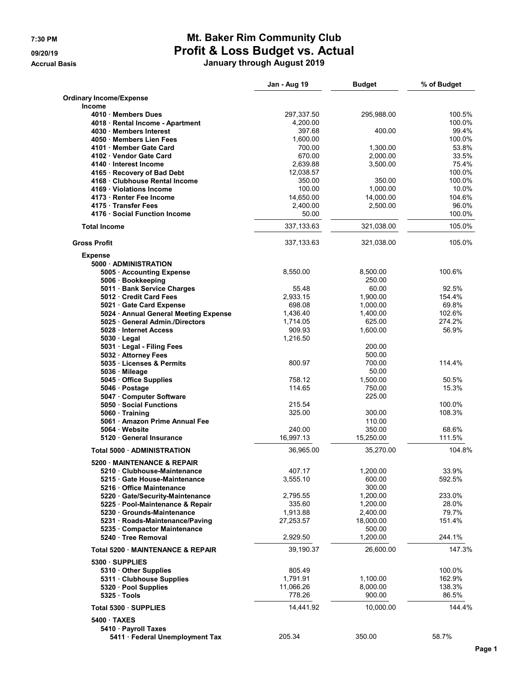# **7:30 PM Mt. Baker Rim Community Club 09/20/19 Profit & Loss Budget vs. Actual**

**Accrual Basis January through August 2019**

|                                                                    | Jan - Aug 19       | <b>Budget</b>        | % of Budget      |
|--------------------------------------------------------------------|--------------------|----------------------|------------------|
| <b>Ordinary Income/Expense</b>                                     |                    |                      |                  |
| <b>Income</b>                                                      |                    |                      |                  |
| 4010 Members Dues                                                  | 297,337.50         | 295,988.00           | 100.5%           |
| 4018 · Rental Income - Apartment                                   | 4,200.00           |                      | 100.0%           |
| 4030 Members Interest                                              | 397.68             | 400.00               | 99.4%            |
| 4050 Members Lien Fees                                             | 1,600.00           |                      | 100.0%           |
| 4101 Member Gate Card                                              | 700.00             | 1,300.00             | 53.8%            |
| 4102 Vendor Gate Card                                              | 670.00             | 2,000.00             | 33.5%            |
| 4140 Interest Income                                               | 2,639.88           | 3,500.00             | 75.4%            |
| 4165 · Recovery of Bad Debt                                        | 12,038.57          |                      | 100.0%           |
| 4168 Clubhouse Rental Income                                       | 350.00             | 350.00               | 100.0%           |
| 4169 Violations Income                                             | 100.00             | 1,000.00             | 10.0%            |
| 4173 · Renter Fee Income                                           | 14,650.00          | 14,000.00            | 104.6%           |
| 4175 Transfer Fees                                                 | 2.400.00           | 2,500.00             | 96.0%            |
| 4176 Social Function Income                                        | 50.00              |                      | 100.0%           |
| <b>Total Income</b>                                                | 337, 133.63        | 321,038.00           | 105.0%           |
| <b>Gross Profit</b>                                                | 337,133.63         | 321,038.00           | 105.0%           |
| <b>Expense</b>                                                     |                    |                      |                  |
| 5000 ADMINISTRATION                                                |                    |                      |                  |
| 5005 · Accounting Expense                                          | 8,550.00           | 8,500.00             | 100.6%           |
| 5006 · Bookkeeping                                                 |                    | 250.00               |                  |
| 5011 · Bank Service Charges                                        | 55.48              | 60.00                | 92.5%            |
| 5012 Credit Card Fees                                              | 2,933.15           | 1,900.00             | 154.4%           |
| 5021 Gate Card Expense                                             | 698.08             | 1,000.00             | 69.8%            |
| 5024 • Annual General Meeting Expense                              | 1,436.40           | 1,400.00             | 102.6%<br>274.2% |
| 5025 General Admin./Directors<br>5028 Internet Access              | 1,714.05<br>909.93 | 625.00<br>1,600.00   | 56.9%            |
| $5030 \cdot$ Legal                                                 | 1,216.50           |                      |                  |
| 5031 · Legal - Filing Fees                                         |                    | 200.00               |                  |
| 5032 · Attorney Fees                                               |                    | 500.00               |                  |
| 5035 Licenses & Permits                                            | 800.97             | 700.00               | 114.4%           |
| 5036 · Mileage                                                     |                    | 50.00                |                  |
| 5045 Office Supplies                                               | 758.12             | 1,500.00             | 50.5%            |
| 5046 · Postage                                                     | 114.65             | 750.00               | 15.3%            |
| 5047 Computer Software                                             |                    | 225.00               |                  |
| 5050 · Social Functions                                            | 215.54             |                      | 100.0%           |
| 5060 Training                                                      | 325.00             | 300.00               | 108.3%           |
| 5061 · Amazon Prime Annual Fee                                     |                    | 110.00               |                  |
| 5064 Website                                                       | 240.00             | 350.00               | 68.6%            |
| 5120 General Insurance                                             | 16,997.13          | 15,250.00            | 111.5%           |
| Total 5000 - ADMINISTRATION                                        | 36,965.00          | 35,270.00            | 104.8%           |
| 5200 MAINTENANCE & REPAIR                                          |                    |                      |                  |
| 5210 Clubhouse-Maintenance                                         | 407.17             | 1,200.00             | 33.9%            |
| 5215 Gate House-Maintenance                                        | 3,555.10           | 600.00               | 592.5%           |
| 5216 Office Maintenance                                            |                    | 300.00               | 233.0%           |
| 5220 Gate/Security-Maintenance<br>5225 · Pool-Maintenance & Repair | 2,795.55<br>335.60 | 1,200.00<br>1,200.00 | 28.0%            |
| 5230 Grounds-Maintenance                                           | 1,913.88           | 2,400.00             | 79.7%            |
| 5231 · Roads-Maintenance/Paving                                    | 27,253.57          | 18,000.00            | 151.4%           |
| 5235 Compactor Maintenance                                         |                    | 500.00               |                  |
| 5240 · Tree Removal                                                | 2,929.50           | 1,200.00             | 244.1%           |
| Total 5200 MAINTENANCE & REPAIR                                    | 39,190.37          | 26,600.00            | 147.3%           |
| 5300 · SUPPLIES                                                    |                    |                      |                  |
| 5310 Other Supplies                                                | 805.49             |                      | 100.0%           |
| 5311 · Clubhouse Supplies                                          | 1,791.91           | 1,100.00             | 162.9%           |
| 5320 · Pool Supplies                                               | 11,066.26          | 8,000.00             | 138.3%           |
| $5325 \cdot$ Tools                                                 | 778.26             | 900.00               | 86.5%            |
| Total 5300 SUPPLIES                                                | 14,441.92          | 10,000.00            | 144.4%           |
| 5400 TAXES                                                         |                    |                      |                  |
| 5410 · Payroll Taxes                                               |                    |                      |                  |
| 5411 · Federal Unemployment Tax                                    | 205.34             | 350.00               | 58.7%            |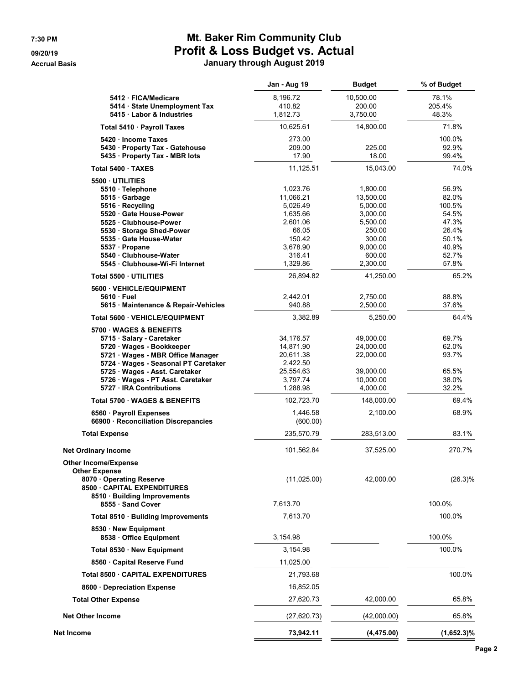## **7:30 PM Mt. Baker Rim Community Club 09/20/19 Profit & Loss Budget vs. Actual Accrual Basis January through August 2019**

| טוסט                                                                | unuury umvuyn muyu    |                        |                |
|---------------------------------------------------------------------|-----------------------|------------------------|----------------|
|                                                                     | Jan - Aug 19          | <b>Budget</b>          | % of Budget    |
| 5412 · FICA/Medicare                                                | 8,196.72              | 10,500.00              | 78.1%          |
| 5414 · State Unemployment Tax                                       | 410.82                | 200.00                 | 205.4%         |
| 5415 · Labor & Industries                                           | 1,812.73              | 3,750.00               | 48.3%          |
| Total 5410 · Payroll Taxes                                          | 10,625.61             | 14,800.00              | 71.8%          |
| 5420 · Income Taxes                                                 | 273.00                |                        | 100.0%         |
| 5430 · Property Tax - Gatehouse                                     | 209.00                | 225.00                 | 92.9%          |
| 5435 · Property Tax - MBR lots                                      | 17.90                 | 18.00                  | 99.4%          |
| Total 5400 · TAXES                                                  | 11,125.51             | 15,043.00              | 74.0%          |
| 5500 UTILITIES                                                      |                       |                        |                |
| 5510 · Telephone                                                    | 1,023.76              | 1,800.00               | 56.9%          |
| 5515 Garbage                                                        | 11,066.21             | 13,500.00              | 82.0%          |
| 5516 · Recycling                                                    | 5,026.49              | 5,000.00               | 100.5%         |
| 5520 Gate House-Power<br>5525 Clubhouse-Power                       | 1,635.66              | 3,000.00               | 54.5%<br>47.3% |
|                                                                     | 2,601.06<br>66.05     | 5,500.00<br>250.00     | 26.4%          |
| 5530 · Storage Shed-Power<br>5535 Gate House-Water                  | 150.42                | 300.00                 | 50.1%          |
| 5537 · Propane                                                      | 3,678.90              | 9,000.00               | 40.9%          |
| 5540 Clubhouse-Water                                                | 316.41                | 600.00                 | 52.7%          |
| 5545 Clubhouse-Wi-Fi Internet                                       | 1,329.86              | 2,300.00               | 57.8%          |
| Total 5500 UTILITIES                                                | 26,894.82             | 41,250.00              | 65.2%          |
| 5600 VEHICLE/EQUIPMENT                                              |                       |                        |                |
| 5610 Fuel                                                           | 2,442.01              | 2,750.00               | 88.8%          |
| 5615 Maintenance & Repair-Vehicles                                  | 940.88                | 2,500.00               | 37.6%          |
| Total 5600 VEHICLE/EQUIPMENT                                        | 3,382.89              | 5,250.00               | 64.4%          |
| 5700 WAGES & BENEFITS                                               |                       |                        |                |
| 5715 · Salary - Caretaker                                           | 34,176.57             | 49,000.00              | 69.7%          |
| 5720 · Wages - Bookkeeper                                           | 14,871.90             | 24,000.00              | 62.0%          |
| 5721 · Wages - MBR Office Manager                                   | 20,611.38             | 22,000.00              | 93.7%          |
| 5724 · Wages - Seasonal PT Caretaker                                | 2,422.50              |                        |                |
| 5725 · Wages - Asst. Caretaker<br>5726 · Wages - PT Asst. Caretaker | 25,554.63<br>3,797.74 | 39,000.00<br>10,000.00 | 65.5%<br>38.0% |
| 5727 · IRA Contributions                                            | 1,288.98              | 4,000.00               | 32.2%          |
| Total 5700 WAGES & BENEFITS                                         | 102,723.70            | 148,000.00             | 69.4%          |
| 6560 · Payroll Expenses                                             | 1,446.58              | 2,100.00               | 68.9%          |
| 66900 · Reconciliation Discrepancies                                | (600.00)              |                        |                |
| <b>Total Expense</b>                                                | 235,570.79            | 283,513.00             | 83.1%          |
| <b>Net Ordinary Income</b>                                          | 101,562.84            | 37,525.00              | 270.7%         |
| <b>Other Income/Expense</b>                                         |                       |                        |                |
| <b>Other Expense</b>                                                |                       | 42,000.00              | $(26.3)\%$     |
| 8070 Operating Reserve                                              | (11,025.00)           |                        |                |

**8555 · Sand Cover** 2001 2002 2003 2004 2012 2013 7,613.70 **Total 8510 · Building Improvements** 7,613.70 **100.0%** 100.0%

**8538 · Office Equipment** 2,154.98 100.0% **Total 8530 · New Equipment** 2,154.98 100.0%

**Total 8500 · CAPITAL EXPENDITURES** 21,793.68 21,793.68 100.0%

**Total Other Expense** 27,620.73 42,000.00 65.8% **Net Other Income** (27,620.73) (42,000.00) 65.8%

**Net Income 73,942.11 (4,475.00) (1,652.3)%**

**8500 · CAPITAL EXPENDITURES 8510 · Building Improvements**

**8530 · New Equipment**

**8560 · Capital Reserve Fund** 11,025.00

8600 · Depreciation Expense **16,852.05**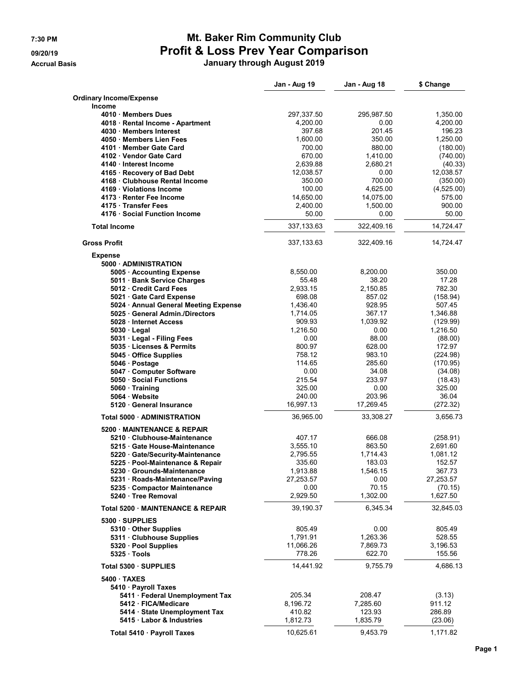## **7:30 PM Mt. Baker Rim Community Club 09/20/19 Profit & Loss Prev Year Comparison**

**Accrual Basis January through August 2019**

|                                                                 | Jan - Aug 19          | Jan - Aug 18       | \$ Change            |
|-----------------------------------------------------------------|-----------------------|--------------------|----------------------|
| <b>Ordinary Income/Expense</b>                                  |                       |                    |                      |
| <b>Income</b>                                                   |                       |                    |                      |
| 4010 Members Dues                                               | 297,337.50            | 295,987.50         | 1,350.00             |
| 4018 · Rental Income - Apartment                                | 4,200.00              | 0.00               | 4,200.00             |
| 4030 Members Interest                                           | 397.68                | 201.45             | 196.23               |
| 4050 Members Lien Fees                                          | 1,600.00              | 350.00             | 1,250.00             |
| 4101 Member Gate Card                                           | 700.00                | 880.00             | (180.00)             |
| 4102 Vendor Gate Card                                           | 670.00                | 1,410.00           | (740.00)             |
| 4140 · Interest Income                                          | 2,639.88              | 2,680.21<br>0.00   | (40.33)<br>12,038.57 |
| 4165 · Recovery of Bad Debt<br>4168 Clubhouse Rental Income     | 12,038.57<br>350.00   | 700.00             | (350.00)             |
| 4169 · Violations Income                                        | 100.00                | 4,625.00           | (4,525.00)           |
| 4173 · Renter Fee Income                                        | 14,650.00             | 14,075.00          | 575.00               |
| 4175 Transfer Fees                                              | 2,400.00              | 1,500.00           | 900.00               |
| 4176 · Social Function Income                                   | 50.00                 | 0.00               | 50.00                |
| <b>Total Income</b>                                             | 337, 133.63           | 322,409.16         | 14,724.47            |
| <b>Gross Profit</b>                                             | 337,133.63            | 322,409.16         | 14,724.47            |
| <b>Expense</b>                                                  |                       |                    |                      |
| 5000 ADMINISTRATION                                             |                       |                    |                      |
| 5005 · Accounting Expense                                       | 8,550.00              | 8,200.00           | 350.00               |
| 5011 Bank Service Charges                                       | 55.48                 | 38.20              | 17.28                |
| 5012 Credit Card Fees                                           | 2,933.15<br>698.08    | 2,150.85           | 782.30               |
| 5021 Gate Card Expense<br>5024 • Annual General Meeting Expense | 1,436.40              | 857.02<br>928.95   | (158.94)<br>507.45   |
| 5025 General Admin./Directors                                   | 1,714.05              | 367.17             | 1,346.88             |
| 5028 Internet Access                                            | 909.93                | 1,039.92           | (129.99)             |
| $5030 \cdot$ Legal                                              | 1,216.50              | 0.00               | 1,216.50             |
| 5031 · Legal - Filing Fees                                      | 0.00                  | 88.00              | (88.00)              |
| 5035 Licenses & Permits                                         | 800.97                | 628.00             | 172.97               |
| 5045 Office Supplies                                            | 758.12                | 983.10             | (224.98)             |
| 5046 · Postage                                                  | 114.65                | 285.60             | (170.95)             |
| 5047 Computer Software                                          | 0.00                  | 34.08              | (34.08)              |
| 5050 Social Functions                                           | 215.54                | 233.97             | (18.43)              |
| 5060 Training                                                   | 325.00                | 0.00               | 325.00               |
| 5064 Website                                                    | 240.00                | 203.96             | 36.04                |
| 5120 · General Insurance                                        | 16,997.13             | 17,269.45          | (272.32)             |
| Total 5000 · ADMINISTRATION                                     | 36,965.00             | 33,308.27          | 3,656.73             |
| 5200 MAINTENANCE & REPAIR                                       |                       |                    |                      |
| 5210 Clubhouse-Maintenance                                      | 407.17                | 666.08             | (258.91)             |
| 5215 Gate House-Maintenance                                     | 3,555.10              | 863.50             | 2,691.60             |
| 5220 Gate/Security-Maintenance                                  | 2,795.55              | 1,714.43           | 1,081.12             |
| 5225 · Pool-Maintenance & Repair                                | 335.60                | 183.03             | 152.57               |
| 5230 Grounds-Maintenance<br>5231 Roads-Maintenance/Paving       | 1,913.88<br>27,253.57 | 1,546.15<br>0.00   | 367.73<br>27,253.57  |
| 5235 Compactor Maintenance                                      | 0.00                  | 70.15              | (70.15)              |
| 5240 Tree Removal                                               | 2,929.50              | 1,302.00           | 1,627.50             |
| Total 5200 MAINTENANCE & REPAIR                                 | 39,190.37             | 6,345.34           | 32,845.03            |
| 5300 · SUPPLIES                                                 |                       |                    |                      |
| 5310 Other Supplies                                             | 805.49                | 0.00               | 805.49               |
| 5311 Clubhouse Supplies                                         | 1,791.91              | 1,263.36           | 528.55               |
| 5320 · Pool Supplies<br>5325 Tools                              | 11,066.26<br>778.26   | 7,869.73<br>622.70 | 3,196.53<br>155.56   |
| Total 5300 · SUPPLIES                                           | 14,441.92             | 9,755.79           | 4,686.13             |
| 5400 TAXES                                                      |                       |                    |                      |
| 5410 · Payroll Taxes                                            |                       |                    |                      |
| 5411 · Federal Unemployment Tax                                 | 205.34                | 208.47             | (3.13)               |
| 5412 FICA/Medicare                                              | 8,196.72              | 7,285.60           | 911.12               |
| 5414 · State Unemployment Tax                                   | 410.82                | 123.93             | 286.89               |
| 5415 Labor & Industries                                         | 1,812.73              | 1,835.79           | (23.06)              |
| Total 5410 · Payroll Taxes                                      | 10,625.61             | 9,453.79           | 1,171.82             |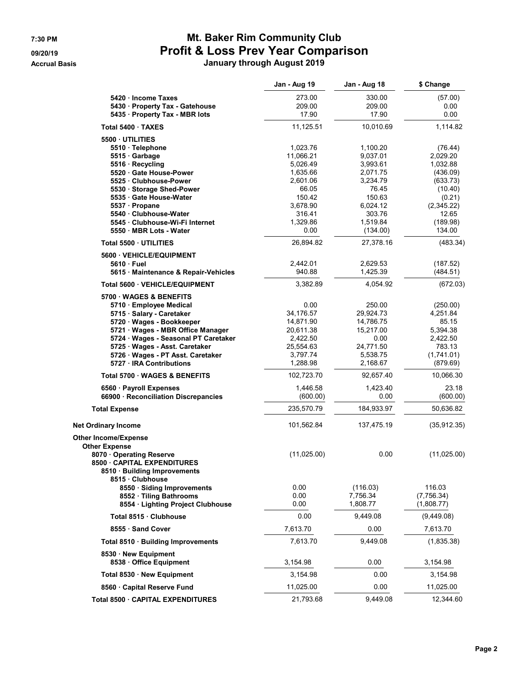# **7:30 PM Mt. Baker Rim Community Club 09/20/19 Profit & Loss Prev Year Comparison**

**Accrual Basis January through August 2019**

|                                                              | Jan - Aug 19           | Jan - Aug 18           | \$ Change              |
|--------------------------------------------------------------|------------------------|------------------------|------------------------|
| 5420 Income Taxes                                            | 273.00                 | 330.00                 | (57.00)                |
| 5430 · Property Tax - Gatehouse                              | 209.00                 | 209.00                 | 0.00                   |
| 5435 · Property Tax - MBR lots                               | 17.90                  | 17.90                  | 0.00                   |
| Total 5400 TAXES                                             | 11,125.51              | 10,010.69              | 1,114.82               |
| 5500 UTILITIES                                               |                        |                        |                        |
| 5510 · Telephone                                             | 1,023.76               | 1,100.20               | (76.44)                |
| 5515 Garbage<br>5516 Recycling                               | 11,066.21<br>5,026.49  | 9,037.01<br>3,993.61   | 2,029.20<br>1,032.88   |
| 5520 Gate House-Power                                        | 1,635.66               | 2,071.75               | (436.09)               |
| 5525 Clubhouse-Power                                         | 2,601.06               | 3,234.79               | (633.73)               |
| 5530 Storage Shed-Power                                      | 66.05                  | 76.45                  | (10.40)                |
| 5535 Gate House-Water<br>5537 · Propane                      | 150.42<br>3,678.90     | 150.63<br>6,024.12     | (0.21)<br>(2,345.22)   |
| 5540 Clubhouse-Water                                         | 316.41                 | 303.76                 | 12.65                  |
| 5545 Clubhouse-Wi-Fi Internet                                | 1,329.86               | 1,519.84               | (189.98)               |
| 5550 MBR Lots - Water                                        | 0.00                   | (134.00)               | 134.00                 |
| Total 5500 UTILITIES                                         | 26,894.82              | 27,378.16              | (483.34)               |
| 5600 · VEHICLE/EQUIPMENT                                     |                        |                        |                        |
| 5610 Fuel<br>5615 · Maintenance & Repair-Vehicles            | 2,442.01<br>940.88     | 2,629.53<br>1,425.39   | (187.52)<br>(484.51)   |
| Total 5600 VEHICLE/EQUIPMENT                                 | 3,382.89               | 4,054.92               | (672.03)               |
| 5700 WAGES & BENEFITS                                        |                        |                        |                        |
| 5710 · Employee Medical                                      | 0.00                   | 250.00                 | (250.00)               |
| 5715 · Salary - Caretaker                                    | 34,176.57<br>14,871.90 | 29,924.73              | 4,251.84<br>85.15      |
| 5720 Wages - Bookkeeper<br>5721 · Wages - MBR Office Manager | 20,611.38              | 14,786.75<br>15,217.00 | 5,394.38               |
| 5724 · Wages - Seasonal PT Caretaker                         | 2,422.50               | 0.00                   | 2,422.50               |
| 5725 · Wages - Asst. Caretaker                               | 25,554.63              | 24,771.50              | 783.13                 |
| 5726 Wages - PT Asst. Caretaker<br>5727 IRA Contributions    | 3,797.74<br>1,288.98   | 5,538.75<br>2,168.67   | (1,741.01)<br>(879.69) |
| Total 5700 · WAGES & BENEFITS                                | 102,723.70             | 92,657.40              | 10,066.30              |
| 6560 · Payroll Expenses                                      | 1,446.58               | 1,423.40               | 23.18                  |
| 66900 · Reconciliation Discrepancies                         | (600.00)               | 0.00                   | (600.00)               |
| <b>Total Expense</b>                                         | 235,570.79             | 184,933.97             | 50,636.82              |
| <b>Net Ordinary Income</b>                                   | 101,562.84             | 137,475.19             | (35, 912.35)           |
| <b>Other Income/Expense</b><br><b>Other Expense</b>          |                        |                        |                        |
| 8070 Operating Reserve                                       | (11,025.00)            | 0.00                   | (11,025.00)            |
| 8500 CAPITAL EXPENDITURES<br>8510 · Building Improvements    |                        |                        |                        |
| 8515 Clubhouse                                               |                        |                        |                        |
| 8550 · Siding Improvements<br>8552 · Tiling Bathrooms        | 0.00<br>0.00           | (116.03)<br>7,756.34   | 116.03<br>(7,756.34)   |
| 8554 · Lighting Project Clubhouse                            | 0.00                   | 1,808.77               | (1,808.77)             |
| Total 8515 Clubhouse                                         | 0.00                   | 9,449.08               | (9,449.08)             |
| 8555 Sand Cover                                              | 7,613.70               | 0.00                   | 7,613.70               |
| Total 8510 · Building Improvements                           | 7,613.70               | 9,449.08               | (1,835.38)             |
| 8530 · New Equipment<br>8538 Office Equipment                | 3,154.98               | 0.00                   | 3,154.98               |
| Total 8530 · New Equipment                                   | 3,154.98               | 0.00                   | 3,154.98               |
| 8560 Capital Reserve Fund                                    | 11,025.00              | 0.00                   | 11,025.00              |
| Total 8500 · CAPITAL EXPENDITURES                            | 21,793.68              | 9,449.08               | 12,344.60              |